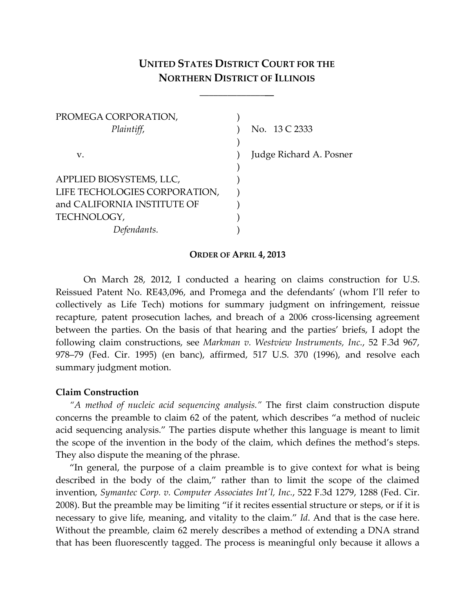# **UNITED STATES DISTRICT COURT FOR THE NORTHERN DISTRICT OF ILLINOIS**

\_\_\_\_\_\_\_\_\_\_\_\_\_\_\_\_

| No. 13 C 2333           |
|-------------------------|
|                         |
| Judge Richard A. Posner |
|                         |
|                         |
|                         |
|                         |
|                         |
|                         |
|                         |

#### **ORDER OF APRIL 4, 2013**

On March 28, 2012, I conducted a hearing on claims construction for U.S. Reissued Patent No. RE43,096, and Promega and the defendants' (whom I'll refer to collectively as Life Tech) motions for summary judgment on infringement, reissue recapture, patent prosecution laches, and breach of a 2006 cross-licensing agreement between the parties. On the basis of that hearing and the parties' briefs, I adopt the following claim constructions, see *Markman v. Westview Instruments, Inc.*, 52 F.3d 967, 978–79 (Fed. Cir. 1995) (en banc), affirmed, 517 U.S. 370 (1996), and resolve each summary judgment motion.

### **Claim Construction**

*"A method of nucleic acid sequencing analysis."* The first claim construction dispute concerns the preamble to claim 62 of the patent, which describes "a method of nucleic acid sequencing analysis." The parties dispute whether this language is meant to limit the scope of the invention in the body of the claim, which defines the method's steps. They also dispute the meaning of the phrase.

"In general, the purpose of a claim preamble is to give context for what is being described in the body of the claim," rather than to limit the scope of the claimed invention, *Symantec Corp. v. Computer Associates Int'l, Inc.*, 522 F.3d 1279, 1288 (Fed. Cir. 2008). But the preamble may be limiting "if it recites essential structure or steps, or if it is necessary to give life, meaning, and vitality to the claim." *Id*. And that is the case here. Without the preamble, claim 62 merely describes a method of extending a DNA strand that has been fluorescently tagged. The process is meaningful only because it allows a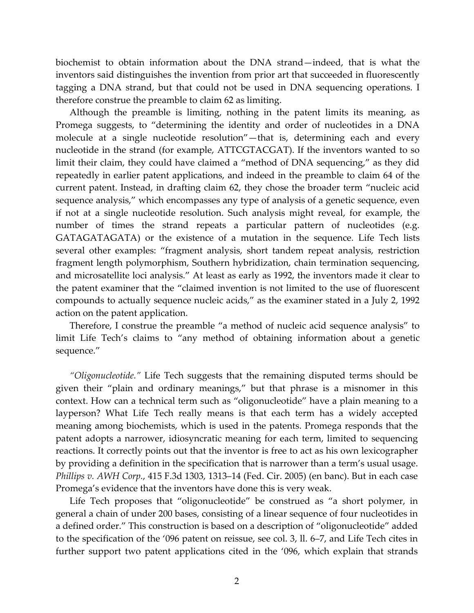biochemist to obtain information about the DNA strand—indeed, that is what the inventors said distinguishes the invention from prior art that succeeded in fluorescently tagging a DNA strand, but that could not be used in DNA sequencing operations. I therefore construe the preamble to claim 62 as limiting.

Although the preamble is limiting, nothing in the patent limits its meaning, as Promega suggests, to "determining the identity and order of nucleotides in a DNA molecule at a single nucleotide resolution"—that is, determining each and every nucleotide in the strand (for example, ATTCGTACGAT). If the inventors wanted to so limit their claim, they could have claimed a "method of DNA sequencing," as they did repeatedly in earlier patent applications, and indeed in the preamble to claim 64 of the current patent. Instead, in drafting claim 62, they chose the broader term "nucleic acid sequence analysis," which encompasses any type of analysis of a genetic sequence, even if not at a single nucleotide resolution. Such analysis might reveal, for example, the number of times the strand repeats a particular pattern of nucleotides (e.g. GATAGATAGATA) or the existence of a mutation in the sequence. Life Tech lists several other examples: "fragment analysis, short tandem repeat analysis, restriction fragment length polymorphism, Southern hybridization, chain termination sequencing, and microsatellite loci analysis." At least as early as 1992, the inventors made it clear to the patent examiner that the "claimed invention is not limited to the use of fluorescent compounds to actually sequence nucleic acids," as the examiner stated in a July 2, 1992 action on the patent application.

Therefore, I construe the preamble "a method of nucleic acid sequence analysis" to limit Life Tech's claims to "any method of obtaining information about a genetic sequence."

*"Oligonucleotide."* Life Tech suggests that the remaining disputed terms should be given their "plain and ordinary meanings," but that phrase is a misnomer in this context. How can a technical term such as "oligonucleotide" have a plain meaning to a layperson? What Life Tech really means is that each term has a widely accepted meaning among biochemists, which is used in the patents. Promega responds that the patent adopts a narrower, idiosyncratic meaning for each term, limited to sequencing reactions. It correctly points out that the inventor is free to act as his own lexicographer by providing a definition in the specification that is narrower than a term's usual usage. *Phillips v. AWH Corp.*, 415 F.3d 1303, 1313–14 (Fed. Cir. 2005) (en banc). But in each case Promega's evidence that the inventors have done this is very weak.

Life Tech proposes that "oligonucleotide" be construed as "a short polymer, in general a chain of under 200 bases, consisting of a linear sequence of four nucleotides in a defined order." This construction is based on a description of "oligonucleotide" added to the specification of the '096 patent on reissue, see col. 3, ll. 6–7, and Life Tech cites in further support two patent applications cited in the '096, which explain that strands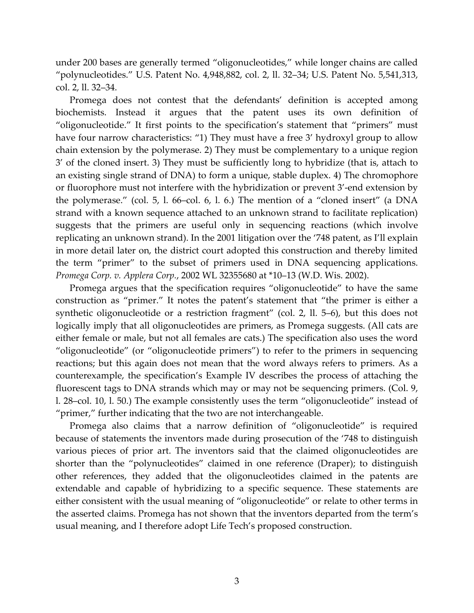under 200 bases are generally termed "oligonucleotides," while longer chains are called "polynucleotides." U.S. Patent No. 4,948,882, col. 2, ll. 32–34; U.S. Patent No. 5,541,313, col. 2, ll. 32–34.

Promega does not contest that the defendants' definition is accepted among biochemists. Instead it argues that the patent uses its own definition of "oligonucleotide." It first points to the specification's statement that "primers" must have four narrow characteristics: "1) They must have a free 3' hydroxyl group to allow chain extension by the polymerase. 2) They must be complementary to a unique region 3' of the cloned insert. 3) They must be sufficiently long to hybridize (that is, attach to an existing single strand of DNA) to form a unique, stable duplex. 4) The chromophore or fluorophore must not interfere with the hybridization or prevent 3'-end extension by the polymerase." (col. 5, l. 66–col. 6, l. 6.) The mention of a "cloned insert" (a DNA strand with a known sequence attached to an unknown strand to facilitate replication) suggests that the primers are useful only in sequencing reactions (which involve replicating an unknown strand). In the 2001 litigation over the '748 patent, as I'll explain in more detail later on, the district court adopted this construction and thereby limited the term "primer" to the subset of primers used in DNA sequencing applications. *Promega Corp. v. Applera Corp.*, 2002 WL 32355680 at \*10–13 (W.D. Wis. 2002).

Promega argues that the specification requires "oligonucleotide" to have the same construction as "primer." It notes the patent's statement that "the primer is either a synthetic oligonucleotide or a restriction fragment" (col. 2, ll. 5–6), but this does not logically imply that all oligonucleotides are primers, as Promega suggests. (All cats are either female or male, but not all females are cats.) The specification also uses the word "oligonucleotide" (or "oligonucleotide primers") to refer to the primers in sequencing reactions; but this again does not mean that the word always refers to primers. As a counterexample, the specification's Example IV describes the process of attaching the fluorescent tags to DNA strands which may or may not be sequencing primers. (Col. 9, l. 28–col. 10, l. 50.) The example consistently uses the term "oligonucleotide" instead of "primer," further indicating that the two are not interchangeable.

Promega also claims that a narrow definition of "oligonucleotide" is required because of statements the inventors made during prosecution of the '748 to distinguish various pieces of prior art. The inventors said that the claimed oligonucleotides are shorter than the "polynucleotides" claimed in one reference (Draper); to distinguish other references, they added that the oligonucleotides claimed in the patents are extendable and capable of hybridizing to a specific sequence. These statements are either consistent with the usual meaning of "oligonucleotide" or relate to other terms in the asserted claims. Promega has not shown that the inventors departed from the term's usual meaning, and I therefore adopt Life Tech's proposed construction.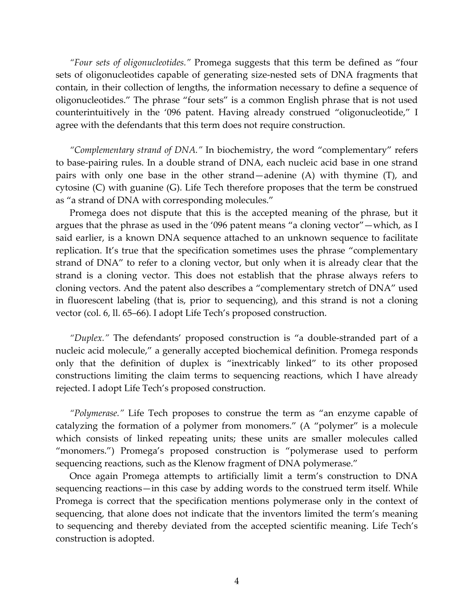*"Four sets of oligonucleotides."* Promega suggests that this term be defined as "four sets of oligonucleotides capable of generating size-nested sets of DNA fragments that contain, in their collection of lengths, the information necessary to define a sequence of oligonucleotides." The phrase "four sets" is a common English phrase that is not used counterintuitively in the '096 patent. Having already construed "oligonucleotide," I agree with the defendants that this term does not require construction.

*"Complementary strand of DNA."* In biochemistry, the word "complementary" refers to base-pairing rules. In a double strand of DNA, each nucleic acid base in one strand pairs with only one base in the other strand—adenine (A) with thymine (T), and cytosine (C) with guanine (G). Life Tech therefore proposes that the term be construed as "a strand of DNA with corresponding molecules."

Promega does not dispute that this is the accepted meaning of the phrase, but it argues that the phrase as used in the '096 patent means "a cloning vector"—which, as I said earlier, is a known DNA sequence attached to an unknown sequence to facilitate replication. It's true that the specification sometimes uses the phrase "complementary strand of DNA" to refer to a cloning vector, but only when it is already clear that the strand is a cloning vector. This does not establish that the phrase always refers to cloning vectors. And the patent also describes a "complementary stretch of DNA" used in fluorescent labeling (that is, prior to sequencing), and this strand is not a cloning vector (col. 6, ll. 65–66). I adopt Life Tech's proposed construction.

*"Duplex."* The defendants' proposed construction is "a double-stranded part of a nucleic acid molecule," a generally accepted biochemical definition. Promega responds only that the definition of duplex is "inextricably linked" to its other proposed constructions limiting the claim terms to sequencing reactions, which I have already rejected. I adopt Life Tech's proposed construction.

*"Polymerase."* Life Tech proposes to construe the term as "an enzyme capable of catalyzing the formation of a polymer from monomers." (A "polymer" is a molecule which consists of linked repeating units; these units are smaller molecules called "monomers.") Promega's proposed construction is "polymerase used to perform sequencing reactions, such as the Klenow fragment of DNA polymerase."

Once again Promega attempts to artificially limit a term's construction to DNA sequencing reactions—in this case by adding words to the construed term itself. While Promega is correct that the specification mentions polymerase only in the context of sequencing, that alone does not indicate that the inventors limited the term's meaning to sequencing and thereby deviated from the accepted scientific meaning. Life Tech's construction is adopted.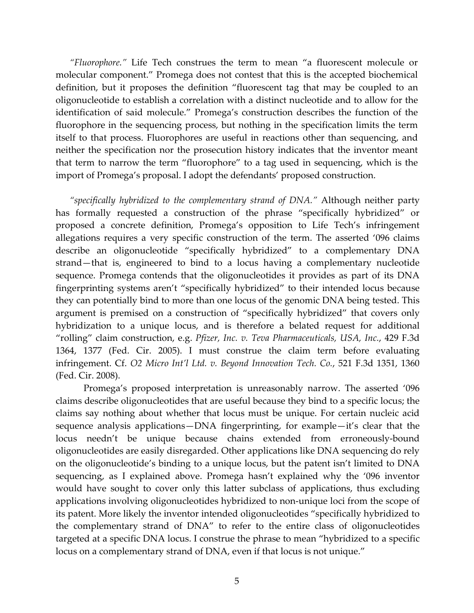*"Fluorophore."* Life Tech construes the term to mean "a fluorescent molecule or molecular component." Promega does not contest that this is the accepted biochemical definition, but it proposes the definition "fluorescent tag that may be coupled to an oligonucleotide to establish a correlation with a distinct nucleotide and to allow for the identification of said molecule." Promega's construction describes the function of the fluorophore in the sequencing process, but nothing in the specification limits the term itself to that process. Fluorophores are useful in reactions other than sequencing, and neither the specification nor the prosecution history indicates that the inventor meant that term to narrow the term "fluorophore" to a tag used in sequencing, which is the import of Promega's proposal. I adopt the defendants' proposed construction.

*"specifically hybridized to the complementary strand of DNA."* Although neither party has formally requested a construction of the phrase "specifically hybridized" or proposed a concrete definition, Promega's opposition to Life Tech's infringement allegations requires a very specific construction of the term. The asserted '096 claims describe an oligonucleotide "specifically hybridized" to a complementary DNA strand—that is, engineered to bind to a locus having a complementary nucleotide sequence. Promega contends that the oligonucleotides it provides as part of its DNA fingerprinting systems aren't "specifically hybridized" to their intended locus because they can potentially bind to more than one locus of the genomic DNA being tested. This argument is premised on a construction of "specifically hybridized" that covers only hybridization to a unique locus, and is therefore a belated request for additional "rolling" claim construction, e.g. *Pfizer, Inc. v. Teva Pharmaceuticals, USA, Inc.*, 429 F.3d 1364, 1377 (Fed. Cir. 2005). I must construe the claim term before evaluating infringement. Cf. *O2 Micro Int'l Ltd. v. Beyond Innovation Tech. Co.*, 521 F.3d 1351, 1360 (Fed. Cir. 2008).

 Promega's proposed interpretation is unreasonably narrow. The asserted '096 claims describe oligonucleotides that are useful because they bind to a specific locus; the claims say nothing about whether that locus must be unique. For certain nucleic acid sequence analysis applications—DNA fingerprinting, for example—it's clear that the locus needn't be unique because chains extended from erroneously-bound oligonucleotides are easily disregarded. Other applications like DNA sequencing do rely on the oligonucleotide's binding to a unique locus, but the patent isn't limited to DNA sequencing, as I explained above. Promega hasn't explained why the '096 inventor would have sought to cover only this latter subclass of applications, thus excluding applications involving oligonucleotides hybridized to non-unique loci from the scope of its patent. More likely the inventor intended oligonucleotides "specifically hybridized to the complementary strand of DNA" to refer to the entire class of oligonucleotides targeted at a specific DNA locus. I construe the phrase to mean "hybridized to a specific locus on a complementary strand of DNA, even if that locus is not unique."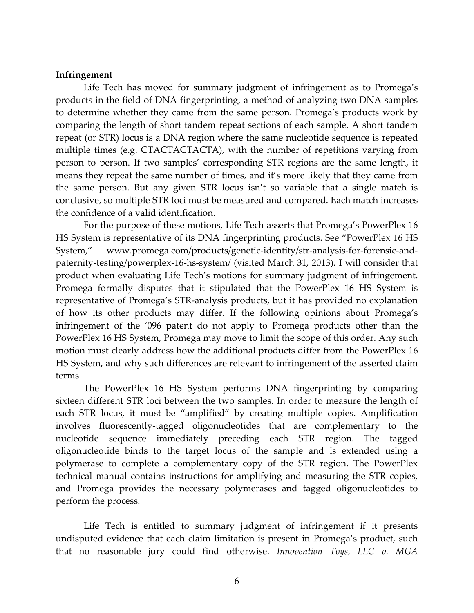## **Infringement**

 Life Tech has moved for summary judgment of infringement as to Promega's products in the field of DNA fingerprinting, a method of analyzing two DNA samples to determine whether they came from the same person. Promega's products work by comparing the length of short tandem repeat sections of each sample. A short tandem repeat (or STR) locus is a DNA region where the same nucleotide sequence is repeated multiple times (e.g. CTACTACTACTA), with the number of repetitions varying from person to person. If two samples' corresponding STR regions are the same length, it means they repeat the same number of times, and it's more likely that they came from the same person. But any given STR locus isn't so variable that a single match is conclusive, so multiple STR loci must be measured and compared. Each match increases the confidence of a valid identification.

 For the purpose of these motions, Life Tech asserts that Promega's PowerPlex 16 HS System is representative of its DNA fingerprinting products. See "PowerPlex 16 HS System," www.promega.com/products/genetic-identity/str-analysis-for-forensic-andpaternity-testing/powerplex-16-hs-system/ (visited March 31, 2013). I will consider that product when evaluating Life Tech's motions for summary judgment of infringement. Promega formally disputes that it stipulated that the PowerPlex 16 HS System is representative of Promega's STR-analysis products, but it has provided no explanation of how its other products may differ. If the following opinions about Promega's infringement of the '096 patent do not apply to Promega products other than the PowerPlex 16 HS System, Promega may move to limit the scope of this order. Any such motion must clearly address how the additional products differ from the PowerPlex 16 HS System, and why such differences are relevant to infringement of the asserted claim terms.

The PowerPlex 16 HS System performs DNA fingerprinting by comparing sixteen different STR loci between the two samples. In order to measure the length of each STR locus, it must be "amplified" by creating multiple copies. Amplification involves fluorescently-tagged oligonucleotides that are complementary to the nucleotide sequence immediately preceding each STR region. The tagged oligonucleotide binds to the target locus of the sample and is extended using a polymerase to complete a complementary copy of the STR region. The PowerPlex technical manual contains instructions for amplifying and measuring the STR copies, and Promega provides the necessary polymerases and tagged oligonucleotides to perform the process.

 Life Tech is entitled to summary judgment of infringement if it presents undisputed evidence that each claim limitation is present in Promega's product, such that no reasonable jury could find otherwise. *Innovention Toys, LLC v. MGA*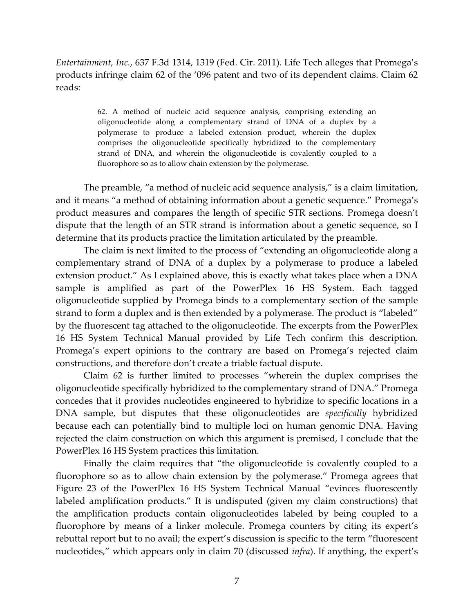## *Entertainment, Inc.*, 637 F.3d 1314, 1319 (Fed. Cir. 2011). Life Tech alleges that Promega's products infringe claim 62 of the '096 patent and two of its dependent claims. Claim 62 reads:

62. A method of nucleic acid sequence analysis, comprising extending an oligonucleotide along a complementary strand of DNA of a duplex by a polymerase to produce a labeled extension product, wherein the duplex comprises the oligonucleotide specifically hybridized to the complementary strand of DNA, and wherein the oligonucleotide is covalently coupled to a fluorophore so as to allow chain extension by the polymerase.

 The preamble, "a method of nucleic acid sequence analysis," is a claim limitation, and it means "a method of obtaining information about a genetic sequence." Promega's product measures and compares the length of specific STR sections. Promega doesn't dispute that the length of an STR strand is information about a genetic sequence, so I determine that its products practice the limitation articulated by the preamble.

 The claim is next limited to the process of "extending an oligonucleotide along a complementary strand of DNA of a duplex by a polymerase to produce a labeled extension product." As I explained above, this is exactly what takes place when a DNA sample is amplified as part of the PowerPlex 16 HS System. Each tagged oligonucleotide supplied by Promega binds to a complementary section of the sample strand to form a duplex and is then extended by a polymerase. The product is "labeled" by the fluorescent tag attached to the oligonucleotide. The excerpts from the PowerPlex 16 HS System Technical Manual provided by Life Tech confirm this description. Promega's expert opinions to the contrary are based on Promega's rejected claim constructions, and therefore don't create a triable factual dispute.

 Claim 62 is further limited to processes "wherein the duplex comprises the oligonucleotide specifically hybridized to the complementary strand of DNA." Promega concedes that it provides nucleotides engineered to hybridize to specific locations in a DNA sample, but disputes that these oligonucleotides are *specifically* hybridized because each can potentially bind to multiple loci on human genomic DNA. Having rejected the claim construction on which this argument is premised, I conclude that the PowerPlex 16 HS System practices this limitation.

 Finally the claim requires that "the oligonucleotide is covalently coupled to a fluorophore so as to allow chain extension by the polymerase." Promega agrees that Figure 23 of the PowerPlex 16 HS System Technical Manual "evinces fluorescently labeled amplification products." It is undisputed (given my claim constructions) that the amplification products contain oligonucleotides labeled by being coupled to a fluorophore by means of a linker molecule. Promega counters by citing its expert's rebuttal report but to no avail; the expert's discussion is specific to the term "fluorescent nucleotides," which appears only in claim 70 (discussed *infra*). If anything, the expert's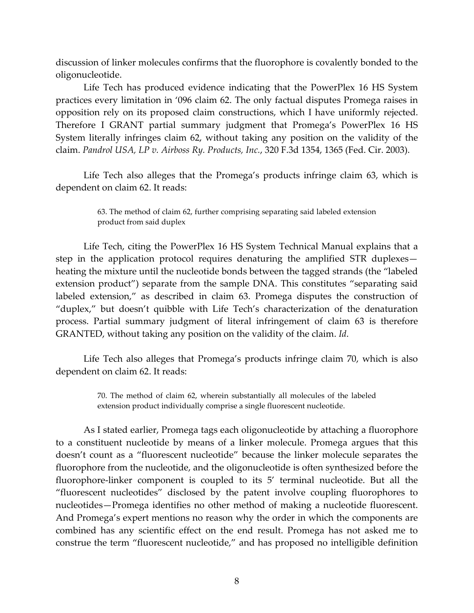discussion of linker molecules confirms that the fluorophore is covalently bonded to the oligonucleotide.

 Life Tech has produced evidence indicating that the PowerPlex 16 HS System practices every limitation in '096 claim 62. The only factual disputes Promega raises in opposition rely on its proposed claim constructions, which I have uniformly rejected. Therefore I GRANT partial summary judgment that Promega's PowerPlex 16 HS System literally infringes claim 62, without taking any position on the validity of the claim. *Pandrol USA, LP v. Airboss Ry. Products, Inc.*, 320 F.3d 1354, 1365 (Fed. Cir. 2003).

 Life Tech also alleges that the Promega's products infringe claim 63, which is dependent on claim 62. It reads:

> 63. The method of claim 62, further comprising separating said labeled extension product from said duplex

 Life Tech, citing the PowerPlex 16 HS System Technical Manual explains that a step in the application protocol requires denaturing the amplified STR duplexes heating the mixture until the nucleotide bonds between the tagged strands (the "labeled extension product") separate from the sample DNA. This constitutes "separating said labeled extension," as described in claim 63. Promega disputes the construction of "duplex," but doesn't quibble with Life Tech's characterization of the denaturation process. Partial summary judgment of literal infringement of claim 63 is therefore GRANTED, without taking any position on the validity of the claim. *Id*.

 Life Tech also alleges that Promega's products infringe claim 70, which is also dependent on claim 62. It reads:

> 70. The method of claim 62, wherein substantially all molecules of the labeled extension product individually comprise a single fluorescent nucleotide.

 As I stated earlier, Promega tags each oligonucleotide by attaching a fluorophore to a constituent nucleotide by means of a linker molecule. Promega argues that this doesn't count as a "fluorescent nucleotide" because the linker molecule separates the fluorophore from the nucleotide, and the oligonucleotide is often synthesized before the fluorophore-linker component is coupled to its 5' terminal nucleotide. But all the "fluorescent nucleotides" disclosed by the patent involve coupling fluorophores to nucleotides—Promega identifies no other method of making a nucleotide fluorescent. And Promega's expert mentions no reason why the order in which the components are combined has any scientific effect on the end result. Promega has not asked me to construe the term "fluorescent nucleotide," and has proposed no intelligible definition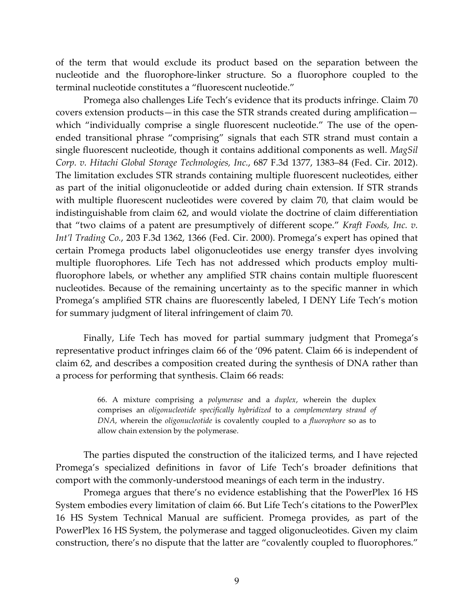of the term that would exclude its product based on the separation between the nucleotide and the fluorophore-linker structure. So a fluorophore coupled to the terminal nucleotide constitutes a "fluorescent nucleotide."

 Promega also challenges Life Tech's evidence that its products infringe. Claim 70 covers extension products—in this case the STR strands created during amplification which "individually comprise a single fluorescent nucleotide." The use of the openended transitional phrase "comprising" signals that each STR strand must contain a single fluorescent nucleotide, though it contains additional components as well. *MagSil Corp. v. Hitachi Global Storage Technologies, Inc.*, 687 F.3d 1377, 1383–84 (Fed. Cir. 2012). The limitation excludes STR strands containing multiple fluorescent nucleotides, either as part of the initial oligonucleotide or added during chain extension. If STR strands with multiple fluorescent nucleotides were covered by claim 70, that claim would be indistinguishable from claim 62, and would violate the doctrine of claim differentiation that "two claims of a patent are presumptively of different scope." *Kraft Foods, Inc. v. Int'l Trading Co.*, 203 F.3d 1362, 1366 (Fed. Cir. 2000). Promega's expert has opined that certain Promega products label oligonucleotides use energy transfer dyes involving multiple fluorophores. Life Tech has not addressed which products employ multifluorophore labels, or whether any amplified STR chains contain multiple fluorescent nucleotides. Because of the remaining uncertainty as to the specific manner in which Promega's amplified STR chains are fluorescently labeled, I DENY Life Tech's motion for summary judgment of literal infringement of claim 70.

 Finally, Life Tech has moved for partial summary judgment that Promega's representative product infringes claim 66 of the '096 patent. Claim 66 is independent of claim 62, and describes a composition created during the synthesis of DNA rather than a process for performing that synthesis. Claim 66 reads:

> 66. A mixture comprising a *polymerase* and a *duplex*, wherein the duplex comprises an *oligonucleotide specifically hybridized* to a *complementary strand of DNA*, wherein the *oligonucleotide* is covalently coupled to a *fluorophore* so as to allow chain extension by the polymerase.

 The parties disputed the construction of the italicized terms, and I have rejected Promega's specialized definitions in favor of Life Tech's broader definitions that comport with the commonly-understood meanings of each term in the industry.

 Promega argues that there's no evidence establishing that the PowerPlex 16 HS System embodies every limitation of claim 66. But Life Tech's citations to the PowerPlex 16 HS System Technical Manual are sufficient. Promega provides, as part of the PowerPlex 16 HS System, the polymerase and tagged oligonucleotides. Given my claim construction, there's no dispute that the latter are "covalently coupled to fluorophores."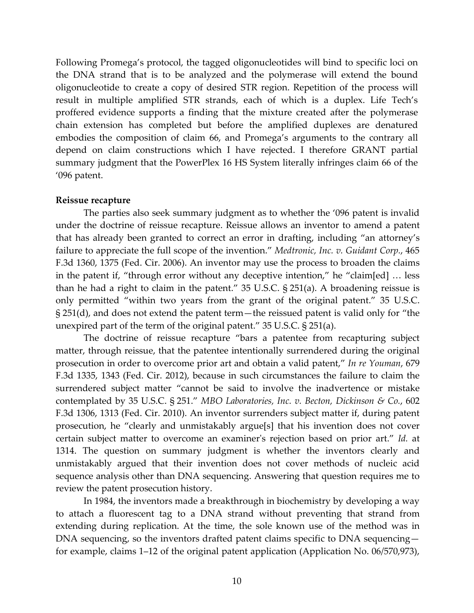Following Promega's protocol, the tagged oligonucleotides will bind to specific loci on the DNA strand that is to be analyzed and the polymerase will extend the bound oligonucleotide to create a copy of desired STR region. Repetition of the process will result in multiple amplified STR strands, each of which is a duplex. Life Tech's proffered evidence supports a finding that the mixture created after the polymerase chain extension has completed but before the amplified duplexes are denatured embodies the composition of claim 66, and Promega's arguments to the contrary all depend on claim constructions which I have rejected. I therefore GRANT partial summary judgment that the PowerPlex 16 HS System literally infringes claim 66 of the '096 patent.

### **Reissue recapture**

 The parties also seek summary judgment as to whether the '096 patent is invalid under the doctrine of reissue recapture. Reissue allows an inventor to amend a patent that has already been granted to correct an error in drafting, including "an attorney's failure to appreciate the full scope of the invention." *Medtronic, Inc. v. Guidant Corp.*, 465 F.3d 1360, 1375 (Fed. Cir. 2006). An inventor may use the process to broaden the claims in the patent if, "through error without any deceptive intention," he "claim[ed] … less than he had a right to claim in the patent." 35 U.S.C. § 251(a). A broadening reissue is only permitted "within two years from the grant of the original patent." 35 U.S.C. § 251(d), and does not extend the patent term—the reissued patent is valid only for "the unexpired part of the term of the original patent." 35 U.S.C. § 251(a).

 The doctrine of reissue recapture "bars a patentee from recapturing subject matter, through reissue, that the patentee intentionally surrendered during the original prosecution in order to overcome prior art and obtain a valid patent," *In re Youman*, 679 F.3d 1335, 1343 (Fed. Cir. 2012), because in such circumstances the failure to claim the surrendered subject matter "cannot be said to involve the inadvertence or mistake contemplated by 35 U.S.C. § 251." *MBO Laboratories, Inc. v. Becton, Dickinson & Co.*, 602 F.3d 1306, 1313 (Fed. Cir. 2010). An inventor surrenders subject matter if, during patent prosecution, he "clearly and unmistakably argue[s] that his invention does not cover certain subject matter to overcome an examiner's rejection based on prior art." *Id.* at 1314. The question on summary judgment is whether the inventors clearly and unmistakably argued that their invention does not cover methods of nucleic acid sequence analysis other than DNA sequencing. Answering that question requires me to review the patent prosecution history.

 In 1984, the inventors made a breakthrough in biochemistry by developing a way to attach a fluorescent tag to a DNA strand without preventing that strand from extending during replication. At the time, the sole known use of the method was in DNA sequencing, so the inventors drafted patent claims specific to DNA sequencing for example, claims 1–12 of the original patent application (Application No. 06/570,973),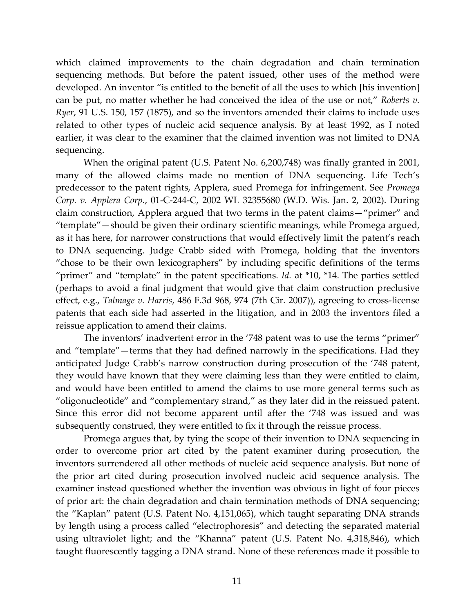which claimed improvements to the chain degradation and chain termination sequencing methods. But before the patent issued, other uses of the method were developed. An inventor "is entitled to the benefit of all the uses to which [his invention] can be put, no matter whether he had conceived the idea of the use or not," *Roberts v. Ryer*, 91 U.S. 150, 157 (1875), and so the inventors amended their claims to include uses related to other types of nucleic acid sequence analysis. By at least 1992, as I noted earlier, it was clear to the examiner that the claimed invention was not limited to DNA sequencing.

 When the original patent (U.S. Patent No. 6,200,748) was finally granted in 2001, many of the allowed claims made no mention of DNA sequencing. Life Tech's predecessor to the patent rights, Applera, sued Promega for infringement. See *Promega Corp. v. Applera Corp.*, 01-C-244-C, 2002 WL 32355680 (W.D. Wis. Jan. 2, 2002). During claim construction, Applera argued that two terms in the patent claims—"primer" and "template"—should be given their ordinary scientific meanings, while Promega argued, as it has here, for narrower constructions that would effectively limit the patent's reach to DNA sequencing. Judge Crabb sided with Promega, holding that the inventors "chose to be their own lexicographers" by including specific definitions of the terms "primer" and "template" in the patent specifications. *Id.* at \*10, \*14. The parties settled (perhaps to avoid a final judgment that would give that claim construction preclusive effect, e.g., *Talmage v. Harris*, 486 F.3d 968, 974 (7th Cir. 2007)), agreeing to cross-license patents that each side had asserted in the litigation, and in 2003 the inventors filed a reissue application to amend their claims.

 The inventors' inadvertent error in the '748 patent was to use the terms "primer" and "template"—terms that they had defined narrowly in the specifications. Had they anticipated Judge Crabb's narrow construction during prosecution of the '748 patent, they would have known that they were claiming less than they were entitled to claim, and would have been entitled to amend the claims to use more general terms such as "oligonucleotide" and "complementary strand," as they later did in the reissued patent. Since this error did not become apparent until after the '748 was issued and was subsequently construed, they were entitled to fix it through the reissue process.

 Promega argues that, by tying the scope of their invention to DNA sequencing in order to overcome prior art cited by the patent examiner during prosecution, the inventors surrendered all other methods of nucleic acid sequence analysis. But none of the prior art cited during prosecution involved nucleic acid sequence analysis. The examiner instead questioned whether the invention was obvious in light of four pieces of prior art: the chain degradation and chain termination methods of DNA sequencing; the "Kaplan" patent (U.S. Patent No. 4,151,065), which taught separating DNA strands by length using a process called "electrophoresis" and detecting the separated material using ultraviolet light; and the "Khanna" patent (U.S. Patent No. 4,318,846), which taught fluorescently tagging a DNA strand. None of these references made it possible to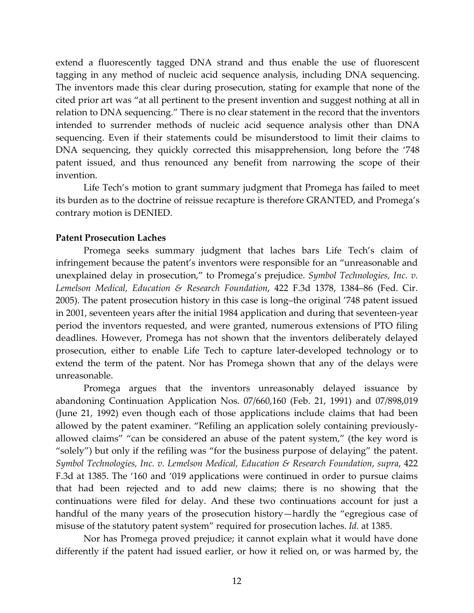extend a fluorescently tagged DNA strand and thus enable the use of fluorescent tagging in any method of nucleic acid sequence analysis, including DNA sequencing. The inventors made this clear during prosecution, stating for example that none of the cited prior art was "at all pertinent to the present invention and suggest nothing at all in relation to DNA sequencing." There is no clear statement in the record that the inventors intended to surrender methods of nucleic acid sequence analysis other than DNA sequencing. Even if their statements could be misunderstood to limit their claims to DNA sequencing, they quickly corrected this misapprehension, long before the '748 patent issued, and thus renounced any benefit from narrowing the scope of their invention.

 Life Tech's motion to grant summary judgment that Promega has failed to meet its burden as to the doctrine of reissue recapture is therefore GRANTED, and Promega's contrary motion is DENIED.

### **Patent Prosecution Laches**

Promega seeks summary judgment that laches bars Life Tech's claim of infringement because the patent's inventors were responsible for an "unreasonable and unexplained delay in prosecution," to Promega's prejudice. *Symbol Technologies, Inc. v. Lemelson Medical, Education & Research Foundation*, 422 F.3d 1378, 1384–86 (Fed. Cir. 2005). The patent prosecution history in this case is long–the original '748 patent issued in 2001, seventeen years after the initial 1984 application and during that seventeen-year period the inventors requested, and were granted, numerous extensions of PTO filing deadlines. However, Promega has not shown that the inventors deliberately delayed prosecution, either to enable Life Tech to capture later-developed technology or to extend the term of the patent. Nor has Promega shown that any of the delays were unreasonable.

Promega argues that the inventors unreasonably delayed issuance by abandoning Continuation Application Nos. 07/660,160 (Feb. 21, 1991) and 07/898,019 (June 21, 1992) even though each of those applications include claims that had been allowed by the patent examiner. "Refiling an application solely containing previouslyallowed claims" "can be considered an abuse of the patent system," (the key word is "solely") but only if the refiling was "for the business purpose of delaying" the patent. *Symbol Technologies, Inc. v. Lemelson Medical, Education & Research Foundation*, *supra*, 422 F.3d at 1385. The '160 and '019 applications were continued in order to pursue claims that had been rejected and to add new claims; there is no showing that the continuations were filed for delay. And these two continuations account for just a handful of the many years of the prosecution history—hardly the "egregious case of misuse of the statutory patent system" required for prosecution laches. *Id.* at 1385.

Nor has Promega proved prejudice; it cannot explain what it would have done differently if the patent had issued earlier, or how it relied on, or was harmed by, the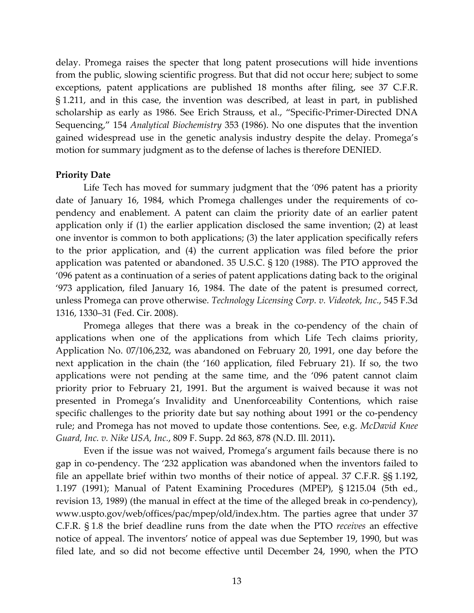delay. Promega raises the specter that long patent prosecutions will hide inventions from the public, slowing scientific progress. But that did not occur here; subject to some exceptions, patent applications are published 18 months after filing, see 37 C.F.R. § 1.211, and in this case, the invention was described, at least in part, in published scholarship as early as 1986. See Erich Strauss, et al., "Specific-Primer-Directed DNA Sequencing," 154 *Analytical Biochemistry* 353 (1986). No one disputes that the invention gained widespread use in the genetic analysis industry despite the delay. Promega's motion for summary judgment as to the defense of laches is therefore DENIED.

### **Priority Date**

 Life Tech has moved for summary judgment that the '096 patent has a priority date of January 16, 1984, which Promega challenges under the requirements of copendency and enablement. A patent can claim the priority date of an earlier patent application only if (1) the earlier application disclosed the same invention; (2) at least one inventor is common to both applications; (3) the later application specifically refers to the prior application, and (4) the current application was filed before the prior application was patented or abandoned. 35 U.S.C. § 120 (1988). The PTO approved the '096 patent as a continuation of a series of patent applications dating back to the original '973 application, filed January 16, 1984. The date of the patent is presumed correct, unless Promega can prove otherwise. *Technology Licensing Corp. v. Videotek, Inc.*, 545 F.3d 1316, 1330–31 (Fed. Cir. 2008).

Promega alleges that there was a break in the co-pendency of the chain of applications when one of the applications from which Life Tech claims priority, Application No. 07/106,232, was abandoned on February 20, 1991, one day before the next application in the chain (the '160 application, filed February 21). If so, the two applications were not pending at the same time, and the '096 patent cannot claim priority prior to February 21, 1991. But the argument is waived because it was not presented in Promega's Invalidity and Unenforceability Contentions, which raise specific challenges to the priority date but say nothing about 1991 or the co-pendency rule; and Promega has not moved to update those contentions. See, e.g. *McDavid Knee Guard, Inc. v. Nike USA, Inc.*, 809 F. Supp. 2d 863, 878 (N.D. Ill. 2011)**.** 

Even if the issue was not waived, Promega's argument fails because there is no gap in co-pendency. The '232 application was abandoned when the inventors failed to file an appellate brief within two months of their notice of appeal. 37 C.F.R. §§ 1.192, 1.197 (1991); Manual of Patent Examining Procedures (MPEP), § 1215.04 (5th ed., revision 13, 1989) (the manual in effect at the time of the alleged break in co-pendency), www.uspto.gov/web/offices/pac/mpep/old/index.htm. The parties agree that under 37 C.F.R. § 1.8 the brief deadline runs from the date when the PTO *receives* an effective notice of appeal. The inventors' notice of appeal was due September 19, 1990, but was filed late, and so did not become effective until December 24, 1990, when the PTO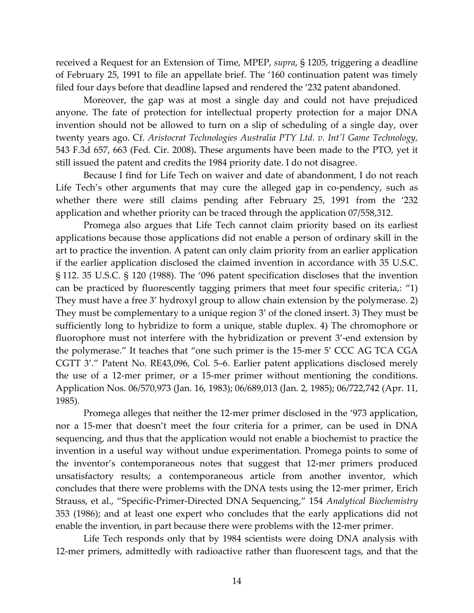received a Request for an Extension of Time, MPEP, *supra*, § 1205, triggering a deadline of February 25, 1991 to file an appellate brief. The '160 continuation patent was timely filed four days before that deadline lapsed and rendered the '232 patent abandoned.

Moreover, the gap was at most a single day and could not have prejudiced anyone. The fate of protection for intellectual property protection for a major DNA invention should not be allowed to turn on a slip of scheduling of a single day, over twenty years ago. Cf. *Aristocrat Technologies Australia PTY Ltd. v. Int'l Game Technology,*  543 F.3d 657, 663 (Fed. Cir. 2008)**.** These arguments have been made to the PTO, yet it still issued the patent and credits the 1984 priority date. I do not disagree.

Because I find for Life Tech on waiver and date of abandonment, I do not reach Life Tech's other arguments that may cure the alleged gap in co-pendency, such as whether there were still claims pending after February 25, 1991 from the '232 application and whether priority can be traced through the application 07/558,312.

Promega also argues that Life Tech cannot claim priority based on its earliest applications because those applications did not enable a person of ordinary skill in the art to practice the invention. A patent can only claim priority from an earlier application if the earlier application disclosed the claimed invention in accordance with 35 U.S.C. § 112. 35 U.S.C. § 120 (1988). The '096 patent specification discloses that the invention can be practiced by fluorescently tagging primers that meet four specific criteria,: "1) They must have a free 3' hydroxyl group to allow chain extension by the polymerase. 2) They must be complementary to a unique region 3' of the cloned insert. 3) They must be sufficiently long to hybridize to form a unique, stable duplex. 4) The chromophore or fluorophore must not interfere with the hybridization or prevent 3'-end extension by the polymerase." It teaches that "one such primer is the 15-mer 5' CCC AG TCA CGA CGTT 3'." Patent No. RE43,096, Col. 5–6. Earlier patent applications disclosed merely the use of a 12-mer primer, or a 15-mer primer without mentioning the conditions. Application Nos. 06/570,973 (Jan. 16, 1983); 06/689,013 (Jan. 2, 1985); 06/722,742 (Apr. 11, 1985).

Promega alleges that neither the 12-mer primer disclosed in the '973 application, nor a 15-mer that doesn't meet the four criteria for a primer, can be used in DNA sequencing, and thus that the application would not enable a biochemist to practice the invention in a useful way without undue experimentation. Promega points to some of the inventor's contemporaneous notes that suggest that 12-mer primers produced unsatisfactory results; a contemporaneous article from another inventor, which concludes that there were problems with the DNA tests using the 12-mer primer, Erich Strauss, et al., "Specific-Primer-Directed DNA Sequencing," 154 *Analytical Biochemistry*  353 (1986); and at least one expert who concludes that the early applications did not enable the invention, in part because there were problems with the 12-mer primer.

Life Tech responds only that by 1984 scientists were doing DNA analysis with 12-mer primers, admittedly with radioactive rather than fluorescent tags, and that the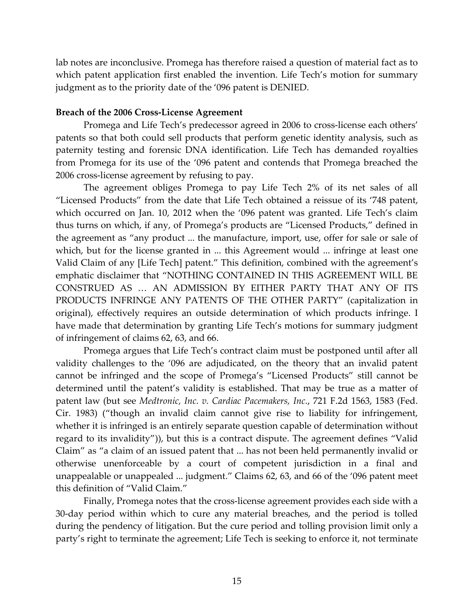lab notes are inconclusive. Promega has therefore raised a question of material fact as to which patent application first enabled the invention. Life Tech's motion for summary judgment as to the priority date of the '096 patent is DENIED.

### **Breach of the 2006 Cross-License Agreement**

 Promega and Life Tech's predecessor agreed in 2006 to cross-license each others' patents so that both could sell products that perform genetic identity analysis, such as paternity testing and forensic DNA identification. Life Tech has demanded royalties from Promega for its use of the '096 patent and contends that Promega breached the 2006 cross-license agreement by refusing to pay.

The agreement obliges Promega to pay Life Tech 2% of its net sales of all "Licensed Products" from the date that Life Tech obtained a reissue of its '748 patent, which occurred on Jan. 10, 2012 when the '096 patent was granted. Life Tech's claim thus turns on which, if any, of Promega's products are "Licensed Products," defined in the agreement as "any product ... the manufacture, import, use, offer for sale or sale of which, but for the license granted in ... this Agreement would ... infringe at least one Valid Claim of any [Life Tech] patent." This definition, combined with the agreement's emphatic disclaimer that "NOTHING CONTAINED IN THIS AGREEMENT WILL BE CONSTRUED AS … AN ADMISSION BY EITHER PARTY THAT ANY OF ITS PRODUCTS INFRINGE ANY PATENTS OF THE OTHER PARTY" (capitalization in original), effectively requires an outside determination of which products infringe. I have made that determination by granting Life Tech's motions for summary judgment of infringement of claims 62, 63, and 66.

 Promega argues that Life Tech's contract claim must be postponed until after all validity challenges to the '096 are adjudicated, on the theory that an invalid patent cannot be infringed and the scope of Promega's "Licensed Products" still cannot be determined until the patent's validity is established. That may be true as a matter of patent law (but see *Medtronic, Inc. v. Cardiac Pacemakers, Inc.*, 721 F.2d 1563, 1583 (Fed. Cir. 1983) ("though an invalid claim cannot give rise to liability for infringement, whether it is infringed is an entirely separate question capable of determination without regard to its invalidity")), but this is a contract dispute. The agreement defines "Valid Claim" as "a claim of an issued patent that ... has not been held permanently invalid or otherwise unenforceable by a court of competent jurisdiction in a final and unappealable or unappealed ... judgment." Claims 62, 63, and 66 of the '096 patent meet this definition of "Valid Claim."

 Finally, Promega notes that the cross-license agreement provides each side with a 30-day period within which to cure any material breaches, and the period is tolled during the pendency of litigation. But the cure period and tolling provision limit only a party's right to terminate the agreement; Life Tech is seeking to enforce it, not terminate